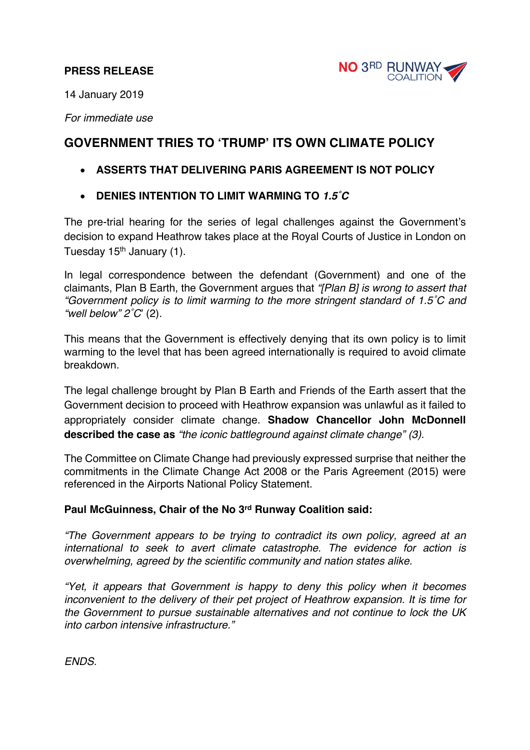## **PRESS RELEASE**



14 January 2019

*For immediate use*

## **GOVERNMENT TRIES TO 'TRUMP' ITS OWN CLIMATE POLICY**

- **ASSERTS THAT DELIVERING PARIS AGREEMENT IS NOT POLICY**
- **DENIES INTENTION TO LIMIT WARMING TO** *1.5˚C*

The pre-trial hearing for the series of legal challenges against the Government's decision to expand Heathrow takes place at the Royal Courts of Justice in London on Tuesday  $15<sup>th</sup>$  January (1).

In legal correspondence between the defendant (Government) and one of the claimants, Plan B Earth, the Government argues that *"[Plan B] is wrong to assert that "Government policy is to limit warming to the more stringent standard of 1.5˚C and "well below" 2˚C*' (2).

This means that the Government is effectively denying that its own policy is to limit warming to the level that has been agreed internationally is required to avoid climate breakdown.

The legal challenge brought by Plan B Earth and Friends of the Earth assert that the Government decision to proceed with Heathrow expansion was unlawful as it failed to appropriately consider climate change. **Shadow Chancellor John McDonnell described the case as** *"the iconic battleground against climate change" (3).*

The Committee on Climate Change had previously expressed surprise that neither the commitments in the Climate Change Act 2008 or the Paris Agreement (2015) were referenced in the Airports National Policy Statement.

## **Paul McGuinness, Chair of the No 3rd Runway Coalition said:**

*"The Government appears to be trying to contradict its own policy, agreed at an international to seek to avert climate catastrophe. The evidence for action is overwhelming, agreed by the scientific community and nation states alike.*

*"Yet, it appears that Government is happy to deny this policy when it becomes inconvenient to the delivery of their pet project of Heathrow expansion. It is time for the Government to pursue sustainable alternatives and not continue to lock the UK into carbon intensive infrastructure."*

*ENDS.*